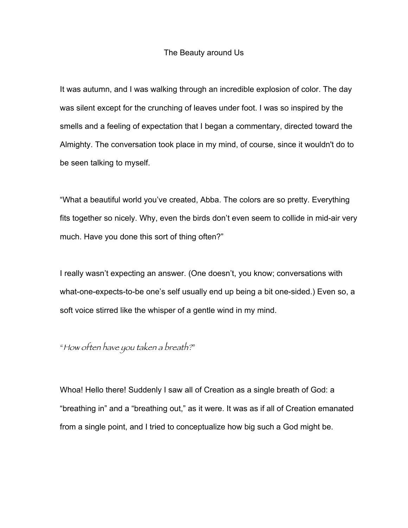## The Beauty around Us

It was autumn, and I was walking through an incredible explosion of color. The day was silent except for the crunching of leaves under foot. I was so inspired by the smells and a feeling of expectation that I began a commentary, directed toward the Almighty. The conversation took place in my mind, of course, since it wouldn't do to be seen talking to myself.

"What a beautiful world you've created, Abba. The colors are so pretty. Everything fits together so nicely. Why, even the birds don't even seem to collide in mid-air very much. Have you done this sort of thing often?"

I really wasn't expecting an answer. (One doesn't, you know; conversations with what-one-expects-to-be one's self usually end up being a bit one-sided.) Even so, a soft voice stirred like the whisper of a gentle wind in my mind.

## "How often have you taken a breath?"

Whoa! Hello there! Suddenly I saw all of Creation as a single breath of God: a "breathing in" and a "breathing out," as it were. It was as if all of Creation emanated from a single point, and I tried to conceptualize how big such a God might be.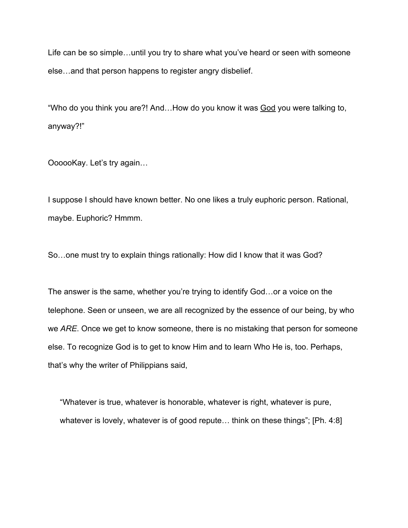Life can be so simple…until you try to share what you've heard or seen with someone else…and that person happens to register angry disbelief.

"Who do you think you are?! And…How do you know it was God you were talking to, anyway?!"

OooooKay. Let's try again…

I suppose I should have known better. No one likes a truly euphoric person. Rational, maybe. Euphoric? Hmmm.

So…one must try to explain things rationally: How did I know that it was God?

The answer is the same, whether you're trying to identify God…or a voice on the telephone. Seen or unseen, we are all recognized by the essence of our being, by who we *ARE*. Once we get to know someone, there is no mistaking that person for someone else. To recognize God is to get to know Him and to learn Who He is, too. Perhaps, that's why the writer of Philippians said,

"Whatever is true, whatever is honorable, whatever is right, whatever is pure, whatever is lovely, whatever is of good repute… think on these things"; [Ph. 4:8]